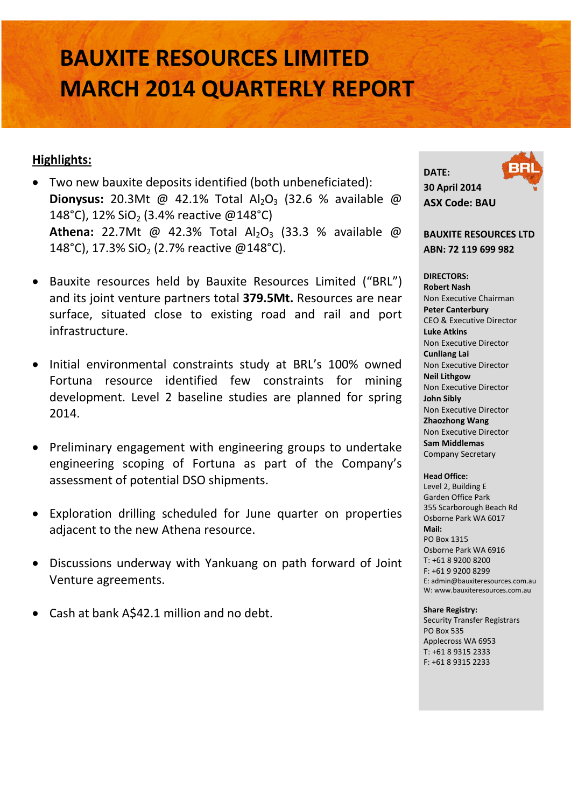# **BAUXITE RESOURCES LIMITED MARCH 2014 QUARTERLY REPORT**

### **Highlights:**

- Two new bauxite deposits identified (both unbeneficiated): **Dionysus:** 20.3Mt @ 42.1% Total Al<sub>2</sub>O<sub>3</sub> (32.6 % available @ 148°C), 12% SiO<sub>2</sub> (3.4% reactive @148°C) **Athena:** 22.7Mt @ 42.3% Total Al<sub>2</sub>O<sub>3</sub> (33.3 % available @ 148°C), 17.3% SiO<sub>2</sub> (2.7% reactive @148°C).
- Bauxite resources held by Bauxite Resources Limited ("BRL") and its joint venture partners total **379.5Mt.** Resources are near surface, situated close to existing road and rail and port infrastructure.
- Initial environmental constraints study at BRL's 100% owned Fortuna resource identified few constraints for mining development. Level 2 baseline studies are planned for spring 2014.
- Preliminary engagement with engineering groups to undertake engineering scoping of Fortuna as part of the Company's assessment of potential DSO shipments.
- Exploration drilling scheduled for June quarter on properties adjacent to the new Athena resource.
- Discussions underway with Yankuang on path forward of Joint Venture agreements.
- Cash at bank A\$42.1 million and no debt.

**DATE: 30 April 2014 ASX Code: BAU**

**BAUXITE RESOURCES LTD ABN: 72 119 699 982**

**DIRECTORS: Robert Nash** Non Executive Chairman **Peter Canterbury**  CEO & Executive Director **Luke Atkins**  Non Executive Director **Cunliang Lai**  Non Executive Director **Neil Lithgow** Non Executive Director **John Sibly** Non Executive Director **Zhaozhong Wang** Non Executive Director **Sam Middlemas** Company Secretary

**Head Office:** Level 2, Building E Garden Office Park 355 Scarborough Beach Rd Osborne Park WA 6017 **Mail:** PO Box 1315 Osborne Park WA 6916 T: +61 8 9200 8200 F: +61 9 9200 8299 E: admin@bauxiteresources.com.au W: www.bauxiteresources.com.au

#### **Share Registry:**

Security Transfer Registrars PO Box 535 Applecross WA 6953 T: +61 8 9315 2333 F: +61 8 9315 2233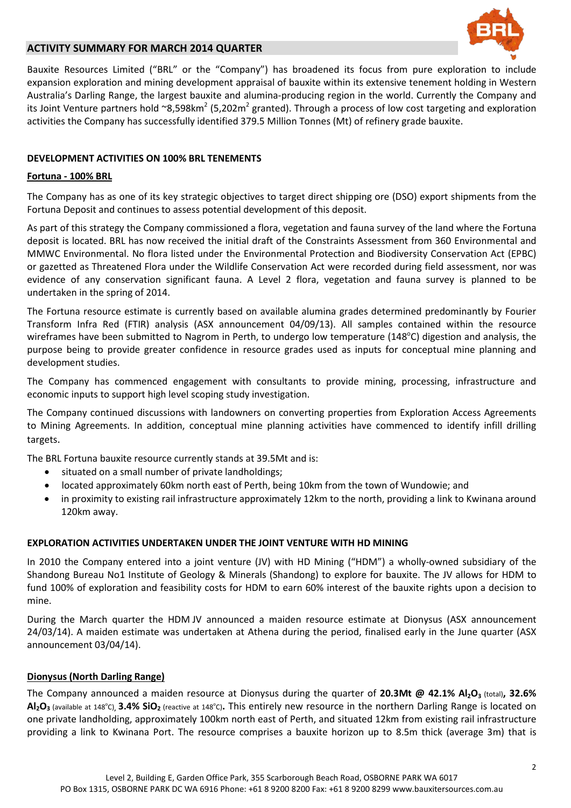

#### **ACTIVITY SUMMARY FOR MARCH 2014 QUARTER**

Bauxite Resources Limited ("BRL" or the "Company") has broadened its focus from pure exploration to include expansion exploration and mining development appraisal of bauxite within its extensive tenement holding in Western Australia's Darling Range, the largest bauxite and alumina-producing region in the world. Currently the Company and its Joint Venture partners hold ~8,598km<sup>2</sup> (5,202m<sup>2</sup> granted). Through a process of low cost targeting and exploration activities the Company has successfully identified 379.5 Million Tonnes (Mt) of refinery grade bauxite.

#### **DEVELOPMENT ACTIVITIES ON 100% BRL TENEMENTS**

#### **Fortuna - 100% BRL**

The Company has as one of its key strategic objectives to target direct shipping ore (DSO) export shipments from the Fortuna Deposit and continues to assess potential development of this deposit.

As part of this strategy the Company commissioned a flora, vegetation and fauna survey of the land where the Fortuna deposit is located. BRL has now received the initial draft of the Constraints Assessment from 360 Environmental and MMWC Environmental. No flora listed under the Environmental Protection and Biodiversity Conservation Act (EPBC) or gazetted as Threatened Flora under the Wildlife Conservation Act were recorded during field assessment, nor was evidence of any conservation significant fauna. A Level 2 flora, vegetation and fauna survey is planned to be undertaken in the spring of 2014.

The Fortuna resource estimate is currently based on available alumina grades determined predominantly by Fourier Transform Infra Red (FTIR) analysis (ASX announcement 04/09/13). All samples contained within the resource wireframes have been submitted to Nagrom in Perth, to undergo low temperature (148°C) digestion and analysis, the purpose being to provide greater confidence in resource grades used as inputs for conceptual mine planning and development studies.

The Company has commenced engagement with consultants to provide mining, processing, infrastructure and economic inputs to support high level scoping study investigation.

The Company continued discussions with landowners on converting properties from Exploration Access Agreements to Mining Agreements. In addition, conceptual mine planning activities have commenced to identify infill drilling targets.

The BRL Fortuna bauxite resource currently stands at 39.5Mt and is:

- situated on a small number of private landholdings;
- located approximately 60km north east of Perth, being 10km from the town of Wundowie; and
- in proximity to existing rail infrastructure approximately 12km to the north, providing a link to Kwinana around 120km away.

#### **EXPLORATION ACTIVITIES UNDERTAKEN UNDER THE JOINT VENTURE WITH HD MINING**

In 2010 the Company entered into a joint venture (JV) with HD Mining ("HDM") a wholly-owned subsidiary of the Shandong Bureau No1 Institute of Geology & Minerals (Shandong) to explore for bauxite. The JV allows for HDM to fund 100% of exploration and feasibility costs for HDM to earn 60% interest of the bauxite rights upon a decision to mine.

During the March quarter the HDM JV announced a maiden resource estimate at Dionysus (ASX announcement 24/03/14). A maiden estimate was undertaken at Athena during the period, finalised early in the June quarter (ASX announcement 03/04/14).

#### **Dionysus (North Darling Range)**

The Company announced a maiden resource at Dionysus during the quarter of 20.3Mt @ 42.1% Al<sub>2</sub>O<sub>3</sub> (total), 32.6%  $\mathsf{Al}_2\mathsf{O}_3$  (available at 148°C),  $\mathsf{3.4\%}$   $\mathsf{SiO}_2$  (reactive at 148°C). This entirely new resource in the northern Darling Range is located on one private landholding, approximately 100km north east of Perth, and situated 12km from existing rail infrastructure providing a link to Kwinana Port. The resource comprises a bauxite horizon up to 8.5m thick (average 3m) that is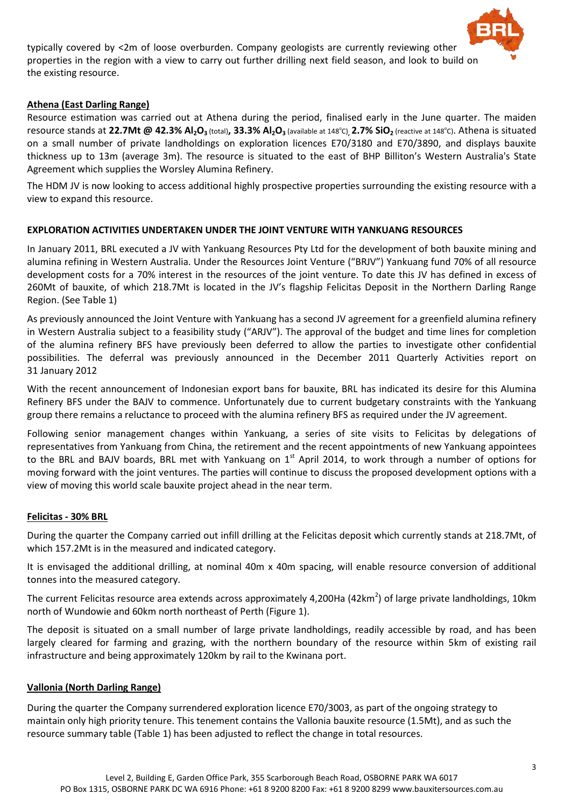

typically covered by <2m of loose overburden. Company geologists are currently reviewing other properties in the region with a view to carry out further drilling next field season, and look to build on the existing resource.

#### **Athena (East Darling Range)**

Resource estimation was carried out at Athena during the period, finalised early in the June quarter. The maiden resource stands at 22.7Mt @ 42.3% Al<sub>2</sub>O<sub>3</sub> (total), 33.3% Al<sub>2</sub>O<sub>3</sub> (available at 148°C)<sub>,</sub> 2.7% SiO<sub>2</sub> (reactive at 148°C). Athena is situated on a small number of private landholdings on exploration licences E70/3180 and E70/3890, and displays bauxite thickness up to 13m (average 3m). The resource is situated to the east of BHP Billiton's Western Australia's State Agreement which supplies the Worsley Alumina Refinery.

The HDM JV is now looking to access additional highly prospective properties surrounding the existing resource with a view to expand this resource.

#### **EXPLORATION ACTIVITIES UNDERTAKEN UNDER THE JOINT VENTURE WITH YANKUANG RESOURCES**

In January 2011, BRL executed a JV with Yankuang Resources Pty Ltd for the development of both bauxite mining and alumina refining in Western Australia. Under the Resources Joint Venture ("BRJV") Yankuang fund 70% of all resource development costs for a 70% interest in the resources of the joint venture. To date this JV has defined in excess of 260Mt of bauxite, of which 218.7Mt is located in the JV's flagship Felicitas Deposit in the Northern Darling Range Region. (See Table 1)

As previously announced the Joint Venture with Yankuang has a second JV agreement for a greenfield alumina refinery in Western Australia subject to a feasibility study ("ARJV"). The approval of the budget and time lines for completion of the alumina refinery BFS have previously been deferred to allow the parties to investigate other confidential possibilities. The deferral was previously announced in the December 2011 Quarterly Activities report on 31 January 2012

With the recent announcement of Indonesian export bans for bauxite, BRL has indicated its desire for this Alumina Refinery BFS under the BAJV to commence. Unfortunately due to current budgetary constraints with the Yankuang group there remains a reluctance to proceed with the alumina refinery BFS as required under the JV agreement.

Following senior management changes within Yankuang, a series of site visits to Felicitas by delegations of representatives from Yankuang from China, the retirement and the recent appointments of new Yankuang appointees to the BRL and BAJV boards, BRL met with Yankuang on  $1<sup>st</sup>$  April 2014, to work through a number of options for moving forward with the joint ventures. The parties will continue to discuss the proposed development options with a view of moving this world scale bauxite project ahead in the near term.

#### **Felicitas - 30% BRL**

During the quarter the Company carried out infill drilling at the Felicitas deposit which currently stands at 218.7Mt, of which 157.2Mt is in the measured and indicated category.

It is envisaged the additional drilling, at nominal 40m x 40m spacing, will enable resource conversion of additional tonnes into the measured category.

The current Felicitas resource area extends across approximately 4,200Ha (42km<sup>2</sup>) of large private landholdings, 10km north of Wundowie and 60km north northeast of Perth (Figure 1).

The deposit is situated on a small number of large private landholdings, readily accessible by road, and has been largely cleared for farming and grazing, with the northern boundary of the resource within 5km of existing rail infrastructure and being approximately 120km by rail to the Kwinana port.

#### **Vallonia (North Darling Range)**

During the quarter the Company surrendered exploration licence E70/3003, as part of the ongoing strategy to maintain only high priority tenure. This tenement contains the Vallonia bauxite resource (1.5Mt), and as such the resource summary table (Table 1) has been adjusted to reflect the change in total resources.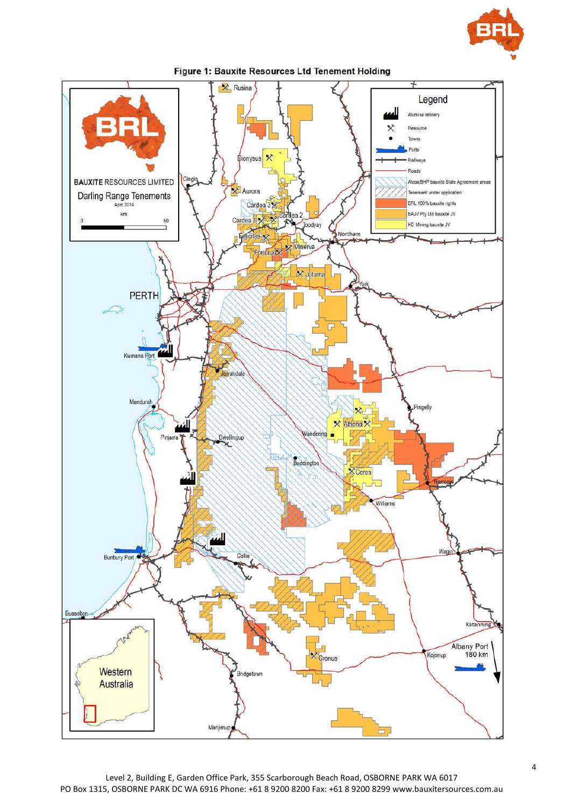



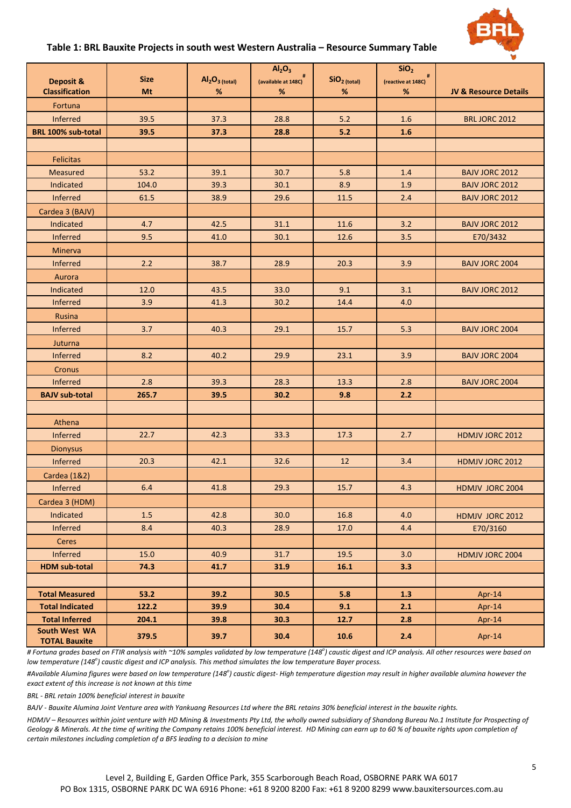

#### **Table 1: BRL Bauxite Projects in south west Western Australia – Resource Summary Table**

|                                       | <b>Size</b> | $Al2O3$ (total) | Al <sub>2</sub> O <sub>3</sub> | $SiO2$ (total) | SiO <sub>2</sub>           |                                  |
|---------------------------------------|-------------|-----------------|--------------------------------|----------------|----------------------------|----------------------------------|
| Deposit &<br><b>Classification</b>    | Mt          | $\%$            | (available at 148C)<br>$\%$    | %              | (reactive at 148C)<br>$\%$ | <b>JV &amp; Resource Details</b> |
| Fortuna                               |             |                 |                                |                |                            |                                  |
| Inferred                              | 39.5        | 37.3            | 28.8                           | 5.2            | 1.6                        | <b>BRL JORC 2012</b>             |
| BRL 100% sub-total                    | 39.5        | 37.3            | 28.8                           | 5.2            | 1.6                        |                                  |
|                                       |             |                 |                                |                |                            |                                  |
| <b>Felicitas</b>                      |             |                 |                                |                |                            |                                  |
| Measured                              | 53.2        | 39.1            | 30.7                           | 5.8            | 1.4                        | <b>BAJV JORC 2012</b>            |
| Indicated                             | 104.0       | 39.3            | 30.1                           | 8.9            | 1.9                        | <b>BAJV JORC 2012</b>            |
| Inferred                              | 61.5        | 38.9            | 29.6                           | 11.5           | 2.4                        | <b>BAJV JORC 2012</b>            |
| Cardea 3 (BAJV)                       |             |                 |                                |                |                            |                                  |
| Indicated                             | 4.7         | 42.5            | 31.1                           | 11.6           | 3.2                        | <b>BAJV JORC 2012</b>            |
| Inferred                              | 9.5         | 41.0            | 30.1                           | 12.6           | 3.5                        | E70/3432                         |
| Minerva                               |             |                 |                                |                |                            |                                  |
| Inferred                              | 2.2         | 38.7            | 28.9                           | 20.3           | 3.9                        | <b>BAJV JORC 2004</b>            |
| Aurora                                |             |                 |                                |                |                            |                                  |
| Indicated                             | 12.0        | 43.5            | 33.0                           | 9.1            | 3.1                        | <b>BAJV JORC 2012</b>            |
| Inferred                              | 3.9         | 41.3            | 30.2                           | 14.4           | 4.0                        |                                  |
| Rusina                                |             |                 |                                |                |                            |                                  |
| Inferred                              | 3.7         | 40.3            | 29.1                           | 15.7           | 5.3                        | <b>BAJV JORC 2004</b>            |
| Juturna                               |             |                 |                                |                |                            |                                  |
| Inferred                              | 8.2         | 40.2            | 29.9                           | 23.1           | 3.9                        | <b>BAJV JORC 2004</b>            |
| Cronus                                |             |                 |                                |                |                            |                                  |
| Inferred                              | 2.8         | 39.3            | 28.3                           | 13.3           | 2.8                        | <b>BAJV JORC 2004</b>            |
| <b>BAJV sub-total</b>                 | 265.7       | 39.5            | 30.2                           | 9.8            | 2.2                        |                                  |
|                                       |             |                 |                                |                |                            |                                  |
| Athena                                |             |                 |                                |                |                            |                                  |
| Inferred                              | 22.7        | 42.3            | 33.3                           | 17.3           | 2.7                        | HDMJV JORC 2012                  |
| <b>Dionysus</b>                       |             |                 |                                |                |                            |                                  |
| Inferred                              | 20.3        | 42.1            | 32.6                           | 12             | 3.4                        | HDMJV JORC 2012                  |
| Cardea (1&2)                          |             |                 |                                |                |                            |                                  |
| Inferred                              | 6.4         | 41.8            | 29.3                           | 15.7           | 4.3                        | HDMJV JORC 2004                  |
| Cardea 3 (HDM)                        |             |                 |                                |                |                            |                                  |
| Indicated                             | 1.5         | 42.8            | 30.0                           | 16.8           | 4.0                        | HDMJV JORC 2012                  |
| Inferred                              | 8.4         | 40.3            | 28.9                           | 17.0           | 4.4                        | E70/3160                         |
| <b>Ceres</b>                          |             |                 |                                |                |                            |                                  |
| <b>Inferred</b>                       | 15.0        | 40.9            | 31.7                           | 19.5           | 3.0                        | HDMJV JORC 2004                  |
| <b>HDM sub-total</b>                  | 74.3        | 41.7            | 31.9                           | 16.1           | 3.3                        |                                  |
|                                       |             |                 |                                |                |                            |                                  |
| <b>Total Measured</b>                 | 53.2        | 39.2            | 30.5                           | 5.8            | 1.3                        | Apr- $14$                        |
| <b>Total Indicated</b>                | 122.2       | 39.9            | 30.4                           | 9.1            | 2.1                        | Apr-14                           |
| <b>Total Inferred</b>                 | 204.1       | 39.8            | 30.3                           | 12.7           | 2.8                        | Apr-14                           |
| South West WA<br><b>TOTAL Bauxite</b> | 379.5       | 39.7            | 30.4                           | 10.6           | 2.4                        | Apr-14                           |

*# Fortuna grades based on FTIR analysis with ~10% samples validated by low temperature (148<sup>o</sup> ) caustic digest and ICP analysis. All other resources were based on low temperature (148<sup>o</sup> ) caustic digest and ICP analysis. This method simulates the low temperature Bayer process.*

*#Available Alumina figures were based on low temperature (148<sup>o</sup> ) caustic digest- High temperature digestion may result in higher available alumina however the exact extent of this increase is not known at this time*

*BRL - BRL retain 100% beneficial interest in bauxite*

*BAJV - Bauxite Alumina Joint Venture area with Yankuang Resources Ltd where the BRL retains 30% beneficial interest in the bauxite rights.*

*HDMJV – Resources within joint venture with HD Mining & Investments Pty Ltd, the wholly owned subsidiary of Shandong Bureau No.1 Institute for Prospecting of Geology & Minerals. At the time of writing the Company retains 100% beneficial interest. HD Mining can earn up to 60 % of bauxite rights upon completion of certain milestones including completion of a BFS leading to a decision to mine*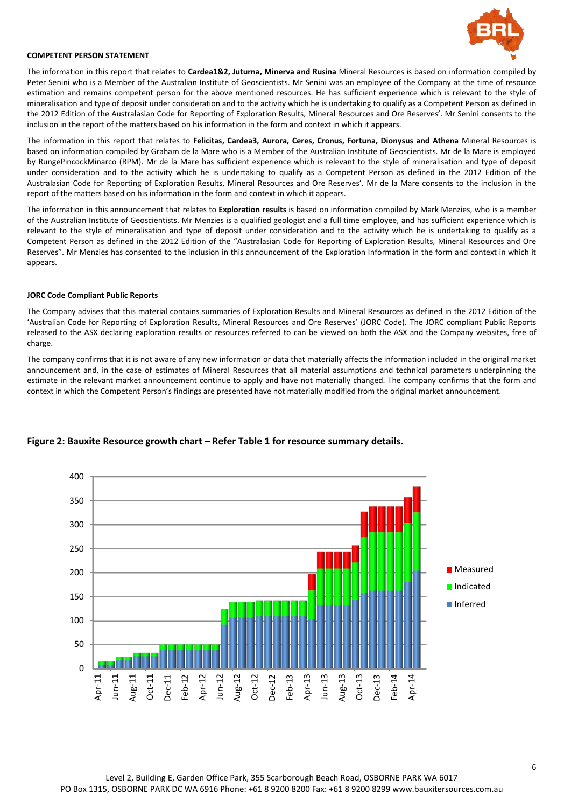

#### **COMPETENT PERSON STATEMENT**

The information in this report that relates to **Cardea1&2, Juturna, Minerva and Rusina** Mineral Resources is based on information compiled by Peter Senini who is a Member of the Australian Institute of Geoscientists. Mr Senini was an employee of the Company at the time of resource estimation and remains competent person for the above mentioned resources. He has sufficient experience which is relevant to the style of mineralisation and type of deposit under consideration and to the activity which he is undertaking to qualify as a Competent Person as defined in the 2012 Edition of the Australasian Code for Reporting of Exploration Results, Mineral Resources and Ore Reserves'. Mr Senini consents to the inclusion in the report of the matters based on his information in the form and context in which it appears.

The information in this report that relates to **Felicitas, Cardea3, Aurora, Ceres, Cronus, Fortuna, Dionysus and Athena** Mineral Resources is based on information compiled by Graham de la Mare who is a Member of the Australian Institute of Geoscientists. Mr de la Mare is employed by RungePincockMinarco (RPM). Mr de la Mare has sufficient experience which is relevant to the style of mineralisation and type of deposit under consideration and to the activity which he is undertaking to qualify as a Competent Person as defined in the 2012 Edition of the Australasian Code for Reporting of Exploration Results, Mineral Resources and Ore Reserves'. Mr de la Mare consents to the inclusion in the report of the matters based on his information in the form and context in which it appears.

The information in this announcement that relates to **Exploration results** is based on information compiled by Mark Menzies, who is a member of the Australian Institute of Geoscientists. Mr Menzies is a qualified geologist and a full time employee, and has sufficient experience which is relevant to the style of mineralisation and type of deposit under consideration and to the activity which he is undertaking to qualify as a Competent Person as defined in the 2012 Edition of the "Australasian Code for Reporting of Exploration Results, Mineral Resources and Ore Reserves". Mr Menzies has consented to the inclusion in this announcement of the Exploration Information in the form and context in which it appears.

#### **JORC Code Compliant Public Reports**

The Company advises that this material contains summaries of Exploration Results and Mineral Resources as defined in the 2012 Edition of the 'Australian Code for Reporting of Exploration Results, Mineral Resources and Ore Reserves' (JORC Code). The JORC compliant Public Reports released to the ASX declaring exploration results or resources referred to can be viewed on both the ASX and the Company websites, free of charge.

The company confirms that it is not aware of any new information or data that materially affects the information included in the original market announcement and, in the case of estimates of Mineral Resources that all material assumptions and technical parameters underpinning the estimate in the relevant market announcement continue to apply and have not materially changed. The company confirms that the form and context in which the Competent Person's findings are presented have not materially modified from the original market announcement.



#### **Figure 2: Bauxite Resource growth chart – Refer Table 1 for resource summary details.**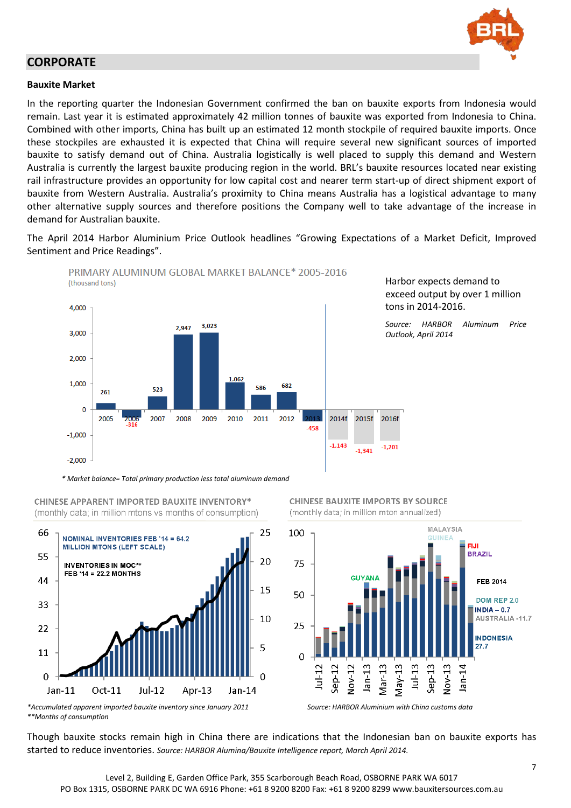

## **CORPORATE**

#### **Bauxite Market**

In the reporting quarter the Indonesian Government confirmed the ban on bauxite exports from Indonesia would remain. Last year it is estimated approximately 42 million tonnes of bauxite was exported from Indonesia to China. Combined with other imports, China has built up an estimated 12 month stockpile of required bauxite imports. Once these stockpiles are exhausted it is expected that China will require several new significant sources of imported bauxite to satisfy demand out of China. Australia logistically is well placed to supply this demand and Western Australia is currently the largest bauxite producing region in the world. BRL's bauxite resources located near existing rail infrastructure provides an opportunity for low capital cost and nearer term start-up of direct shipment export of bauxite from Western Australia. Australia's proximity to China means Australia has a logistical advantage to many other alternative supply sources and therefore positions the Company well to take advantage of the increase in demand for Australian bauxite.

The April 2014 Harbor Aluminium Price Outlook headlines "Growing Expectations of a Market Deficit, Improved Sentiment and Price Readings".



**CHINESE APPARENT IMPORTED BAUXITE INVENTORY\*** 

(monthly data: in million mtons vs months of consumption)







*\*\*Months of consumption*

Though bauxite stocks remain high in China there are indications that the Indonesian ban on bauxite exports has started to reduce inventories. *Source: HARBOR Alumina/Bauxite Intelligence report, March April 2014.*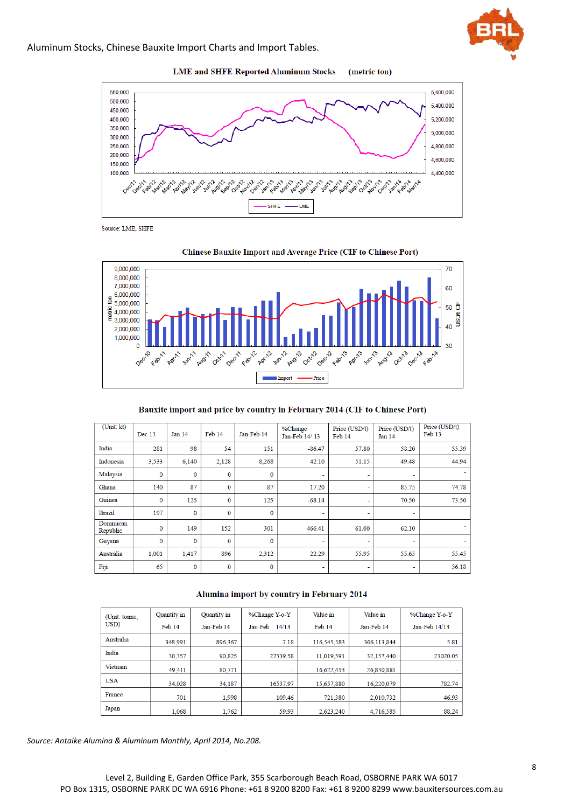



**LME and SHFE Reported Aluminum Stocks** (metric ton)

Source: LME, SHFE



#### Bauxite import and price by country in February 2014 (CIF to Chinese Port)

| (Unit: kt)            | Dec 13       | Jan 14      | Feb 14       | Jan-Feb 14   | %Change<br>Jan-Feb 14/13 | Price (USD/t)<br>Feb 14 | Price (USD/t)<br>Jan 14  | Price (USD/t)<br>Feb 13 |
|-----------------------|--------------|-------------|--------------|--------------|--------------------------|-------------------------|--------------------------|-------------------------|
| India                 | 281          | 98          | 54           | 151          | $-86.47$                 | 57.80                   | 58.20                    | 55.39                   |
| Indonesia             | 3,533        | 6,140       | 2,128        | 8,268        | 42.10                    | 51.15                   | 49.48                    | 44.94                   |
| Malaysia              | $\mathbf{0}$ | $\mathbf 0$ | $\mathbf{0}$ | $\bf{0}$     |                          | ٠                       | $\overline{\phantom{0}}$ |                         |
| Ghana                 | 140          | 87          | $\mathbf{0}$ | 87           | 17.20                    | ٠                       | 85.75                    | 74.78                   |
| Guinea                | $\bf{0}$     | 125         | $\bf{0}$     | 125          | $-68.14$                 | ۰                       | 70.50                    | 73.50                   |
| <b>Brazil</b>         | 197          | $\bf{0}$    | $\mathbf{0}$ | $\bf{0}$     | ٠                        | ٠                       | ٠                        |                         |
| Dominican<br>Republic | $\bf{0}$     | 149         | 152          | 301          | 466.41                   | 61.00                   | 62.10                    |                         |
| Guyana                | $\bf{0}$     | $\mathbf 0$ | $\mathbf{0}$ | $\mathbf{0}$ | ۰                        | ٠                       | $\overline{\phantom{a}}$ |                         |
| Australia             | 1,001        | 1.417       | 896          | 2,312        | 22.29                    | 55.95                   | 55.65                    | 55.45                   |
| Fiji                  | 65           | $\bf{0}$    | $\bf{0}$     | $\bf{0}$     | ٠                        | ٠                       | ۰                        | 56.18                   |

#### Alumina import by country in February 2014

| (Unit: tonne, | Quantity in | Quantity in | %Change Y-o-Y    | Value in    | Value in    | %Change Y-o-Y |
|---------------|-------------|-------------|------------------|-------------|-------------|---------------|
| USD)          | Feb 14      | Jan-Feb 14  | Jan-Feb<br>14/13 | Feb 14      | Jan-Feb 14  | Jan-Feb 14/13 |
| Australia     | 348.991     | 896.367     | 7.18             | 116.545.583 | 306.113.844 | 5.81          |
| India         | 30,357      | 90.825      | 27339.58         | 11,019,591  | 32,157,440  | 23020.05      |
| Vietnam       | 49.411      | 80.771      | -                | 16.622.453  | 26.830.881  |               |
| <b>USA</b>    | 34.028      | 34.187      | 16537.97         | 15.657.880  | 16.220.079  | 782.74        |
| France        | 701         | 1.998       | 109.46           | 721,380     | 2.010.732   | 46.93         |
| Japan         | 1.068       | 1.762       | 59.93            | 2,623,240   | 4,716,585   | 88.24         |

*Source: Antaike Alumina & Aluminum Monthly, April 2014, No.208.*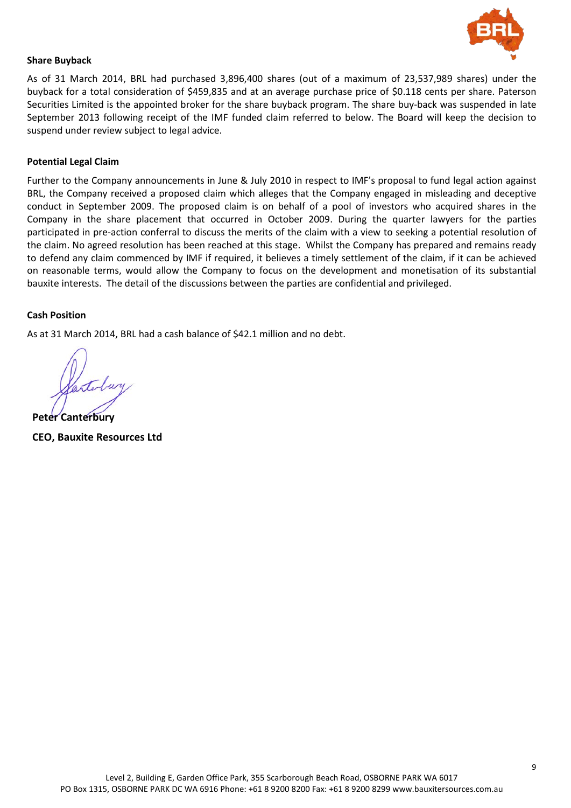

#### **Share Buyback**

As of 31 March 2014, BRL had purchased 3,896,400 shares (out of a maximum of 23,537,989 shares) under the buyback for a total consideration of \$459,835 and at an average purchase price of \$0.118 cents per share. Paterson Securities Limited is the appointed broker for the share buyback program. The share buy-back was suspended in late September 2013 following receipt of the IMF funded claim referred to below. The Board will keep the decision to suspend under review subject to legal advice.

#### **Potential Legal Claim**

Further to the Company announcements in June & July 2010 in respect to IMF's proposal to fund legal action against BRL, the Company received a proposed claim which alleges that the Company engaged in misleading and deceptive conduct in September 2009. The proposed claim is on behalf of a pool of investors who acquired shares in the Company in the share placement that occurred in October 2009. During the quarter lawyers for the parties participated in pre-action conferral to discuss the merits of the claim with a view to seeking a potential resolution of the claim. No agreed resolution has been reached at this stage. Whilst the Company has prepared and remains ready to defend any claim commenced by IMF if required, it believes a timely settlement of the claim, if it can be achieved on reasonable terms, would allow the Company to focus on the development and monetisation of its substantial bauxite interests. The detail of the discussions between the parties are confidential and privileged.

#### **Cash Position**

As at 31 March 2014, BRL had a cash balance of \$42.1 million and no debt.

**Peter Canterbury CEO, Bauxite Resources Ltd**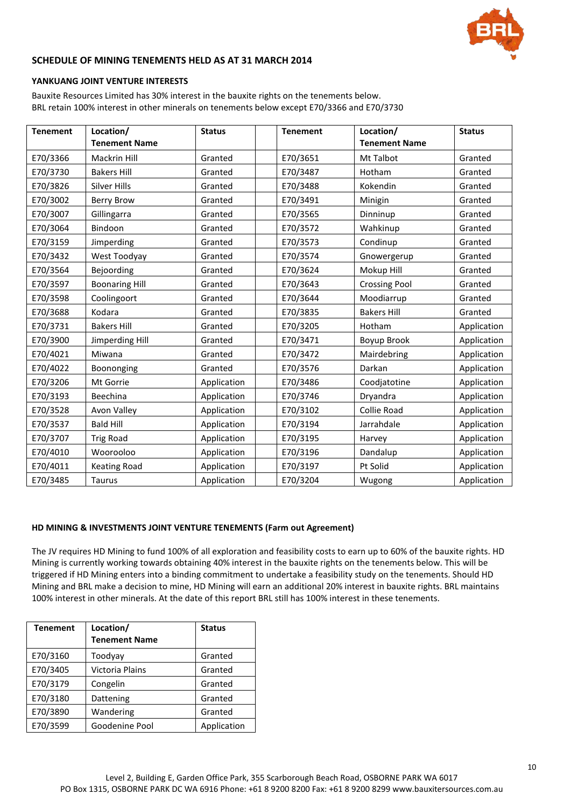

#### **SCHEDULE OF MINING TENEMENTS HELD AS AT 31 MARCH 2014**

#### **YANKUANG JOINT VENTURE INTERESTS**

Bauxite Resources Limited has 30% interest in the bauxite rights on the tenements below. BRL retain 100% interest in other minerals on tenements below except E70/3366 and E70/3730

| <b>Tenement</b> | Location/<br><b>Tenement Name</b> | <b>Status</b> | <b>Tenement</b> | Location/<br><b>Tenement Name</b> | <b>Status</b> |
|-----------------|-----------------------------------|---------------|-----------------|-----------------------------------|---------------|
| E70/3366        | <b>Mackrin Hill</b>               | Granted       | E70/3651        | Mt Talbot                         | Granted       |
| E70/3730        | <b>Bakers Hill</b>                | Granted       | E70/3487        | Hotham                            | Granted       |
| E70/3826        | <b>Silver Hills</b>               | Granted       | E70/3488        | Kokendin                          | Granted       |
| E70/3002        | <b>Berry Brow</b>                 | Granted       | E70/3491        | Minigin                           | Granted       |
| E70/3007        | Gillingarra                       | Granted       | E70/3565        | Dinninup                          | Granted       |
| E70/3064        | Bindoon                           | Granted       | E70/3572        | Wahkinup                          | Granted       |
| E70/3159        | Jimperding                        | Granted       | E70/3573        | Condinup                          | Granted       |
| E70/3432        | West Toodyay                      | Granted       | E70/3574        | Gnowergerup                       | Granted       |
| E70/3564        | Bejoording                        | Granted       | E70/3624        | Mokup Hill                        | Granted       |
| E70/3597        | <b>Boonaring Hill</b>             | Granted       | E70/3643        | <b>Crossing Pool</b>              | Granted       |
| E70/3598        | Coolingoort                       | Granted       | E70/3644        | Moodiarrup                        | Granted       |
| E70/3688        | Kodara                            | Granted       | E70/3835        | <b>Bakers Hill</b>                | Granted       |
| E70/3731        | <b>Bakers Hill</b>                | Granted       | E70/3205        | Hotham                            | Application   |
| E70/3900        | Jimperding Hill                   | Granted       | E70/3471        | Boyup Brook                       | Application   |
| E70/4021        | Miwana                            | Granted       | E70/3472        | Mairdebring                       | Application   |
| E70/4022        | Boononging                        | Granted       | E70/3576        | Darkan                            | Application   |
| E70/3206        | Mt Gorrie                         | Application   | E70/3486        | Coodjatotine                      | Application   |
| E70/3193        | Beechina                          | Application   | E70/3746        | Dryandra                          | Application   |
| E70/3528        | <b>Avon Valley</b>                | Application   | E70/3102        | Collie Road                       | Application   |
| E70/3537        | <b>Bald Hill</b>                  | Application   | E70/3194        | Jarrahdale                        | Application   |
| E70/3707        | <b>Trig Road</b>                  | Application   | E70/3195        | Harvey                            | Application   |
| E70/4010        | Woorooloo                         | Application   | E70/3196        | Dandalup                          | Application   |
| E70/4011        | <b>Keating Road</b>               | Application   | E70/3197        | Pt Solid                          | Application   |
| E70/3485        | <b>Taurus</b>                     | Application   | E70/3204        | Wugong                            | Application   |

#### **HD MINING & INVESTMENTS JOINT VENTURE TENEMENTS (Farm out Agreement)**

The JV requires HD Mining to fund 100% of all exploration and feasibility costs to earn up to 60% of the bauxite rights. HD Mining is currently working towards obtaining 40% interest in the bauxite rights on the tenements below. This will be triggered if HD Mining enters into a binding commitment to undertake a feasibility study on the tenements. Should HD Mining and BRL make a decision to mine, HD Mining will earn an additional 20% interest in bauxite rights. BRL maintains 100% interest in other minerals. At the date of this report BRL still has 100% interest in these tenements.

| <b>Tenement</b> | Location/<br><b>Tenement Name</b> | <b>Status</b> |
|-----------------|-----------------------------------|---------------|
| E70/3160        | Toodyay                           | Granted       |
| E70/3405        | Victoria Plains                   | Granted       |
| E70/3179        | Congelin                          | Granted       |
| E70/3180        | Dattening                         | Granted       |
| E70/3890        | Wandering                         | Granted       |
| E70/3599        | Goodenine Pool                    | Application   |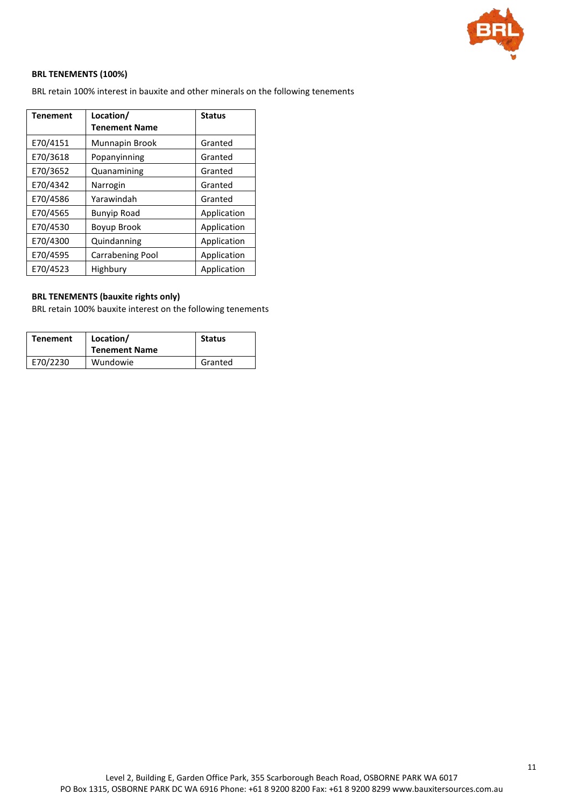

#### **BRL TENEMENTS (100%)**

BRL retain 100% interest in bauxite and other minerals on the following tenements

| <b>Tenement</b> | Location/               | <b>Status</b> |
|-----------------|-------------------------|---------------|
|                 | <b>Tenement Name</b>    |               |
| E70/4151        | Munnapin Brook          | Granted       |
| E70/3618        | Popanyinning            | Granted       |
| E70/3652        | Quanamining             | Granted       |
| E70/4342        | Narrogin                | Granted       |
| E70/4586        | Yarawindah              | Granted       |
| E70/4565        | <b>Bunyip Road</b>      | Application   |
| E70/4530        | Boyup Brook             | Application   |
| E70/4300        | Quindanning             | Application   |
| E70/4595        | <b>Carrabening Pool</b> | Application   |
| E70/4523        | Highbury                | Application   |

#### **BRL TENEMENTS (bauxite rights only)**

BRL retain 100% bauxite interest on the following tenements

| Tenement | Location/<br><b>Tenement Name</b> | <b>Status</b> |
|----------|-----------------------------------|---------------|
| E70/2230 | Wundowie                          | Granted       |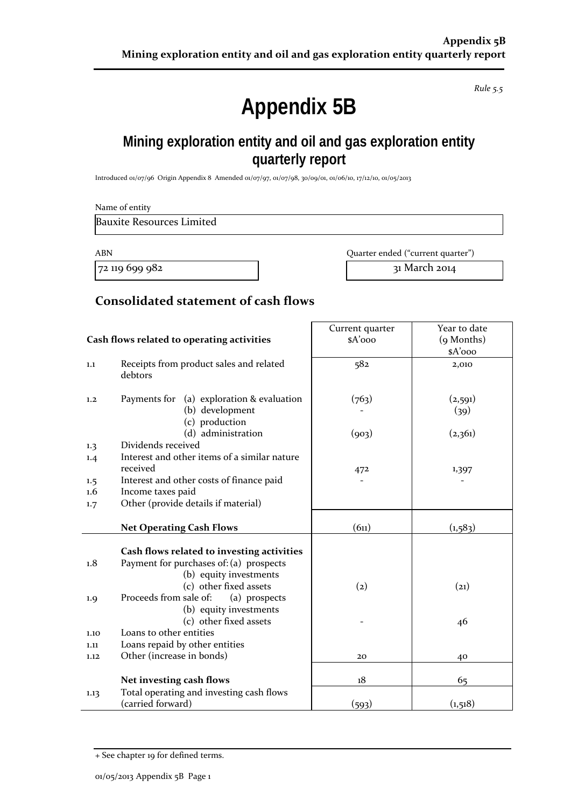*Rule 5.5*

# **Appendix 5B**

# **Mining exploration entity and oil and gas exploration entity quarterly report**

Introduced 01/07/96 Origin Appendix 8 Amended 01/07/97, 01/07/98, 30/09/01, 01/06/10, 17/12/10, 01/05/2013

| Name of entity                   |                                            |                                   |                        |
|----------------------------------|--------------------------------------------|-----------------------------------|------------------------|
| <b>Bauxite Resources Limited</b> |                                            |                                   |                        |
| <b>ABN</b>                       |                                            | Quarter ended ("current quarter") |                        |
| 72 119 699 982                   |                                            |                                   | 31 March 2014          |
|                                  | Consolidated statement of cash flows       |                                   |                        |
|                                  |                                            | Current quarter                   | Year to date           |
|                                  | Cash flows related to operating activities | $A'$ 000                          | (9 Months)<br>$A'$ 000 |
| 1.1<br>debtors                   | Receipts from product sales and related    | 582                               | 2,010                  |
| 1.2                              | Payments for (a) exploration & evaluation  | (763)                             | (2,591)                |
|                                  | (b) development<br>(c) production          |                                   | (39)                   |
|                                  | (d) administration                         | $(\infty)$                        | (2.261)                |

| 1,2        | (a) exploration & evaluation<br>Payments for<br>(b) development<br>(c) production | (763)             | (2,591)<br>(39) |
|------------|-----------------------------------------------------------------------------------|-------------------|-----------------|
|            | (d) administration                                                                | (903)             | (2,361)         |
| 1.3        | Dividends received                                                                |                   |                 |
| 1.4        | Interest and other items of a similar nature<br>received                          |                   |                 |
|            |                                                                                   | 472               | 1,397           |
| 1.5<br>1.6 | Interest and other costs of finance paid                                          |                   |                 |
|            | Income taxes paid<br>Other (provide details if material)                          |                   |                 |
| 1.7        |                                                                                   |                   |                 |
|            | <b>Net Operating Cash Flows</b>                                                   | (6n)              | (1, 583)        |
|            |                                                                                   |                   |                 |
|            | Cash flows related to investing activities                                        |                   |                 |
| 1.8        | Payment for purchases of: (a) prospects                                           |                   |                 |
|            | (b) equity investments                                                            |                   |                 |
|            | (c) other fixed assets                                                            | $\left( 2\right)$ | (21)            |
| 1.9        | Proceeds from sale of:<br>(a) prospects                                           |                   |                 |
|            | (b) equity investments                                                            |                   |                 |
|            | (c) other fixed assets                                                            |                   | 46              |
| 1.10       | Loans to other entities                                                           |                   |                 |
| 1.11       | Loans repaid by other entities                                                    |                   |                 |
| 1.12       | Other (increase in bonds)                                                         | 20                | 40              |
|            |                                                                                   |                   |                 |
|            | Net investing cash flows                                                          | 18                | 65              |
| 1.13       | Total operating and investing cash flows                                          |                   |                 |
|            | (carried forward)                                                                 | (593)             | (1,518)         |

<sup>+</sup> See chapter 19 for defined terms.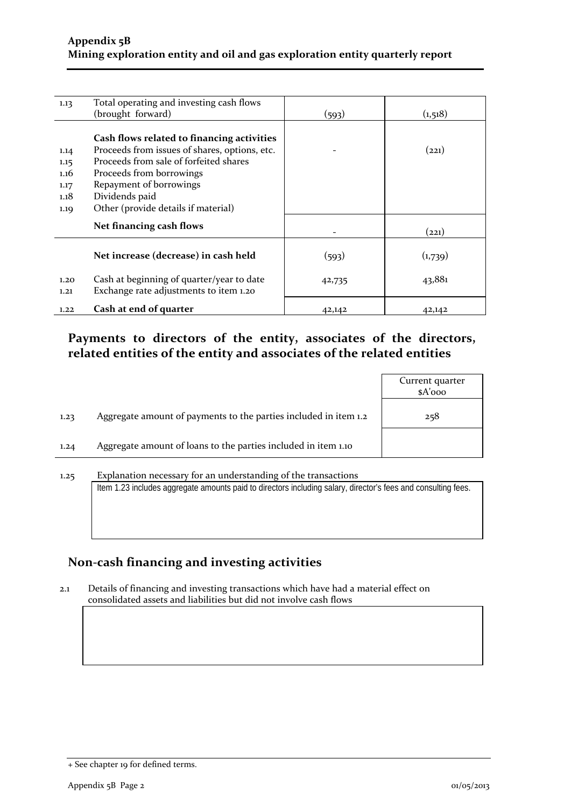| 1.13                                         | Total operating and investing cash flows<br>(brought forward)                                                                                                                                                                                         | (593)  | (1,518) |
|----------------------------------------------|-------------------------------------------------------------------------------------------------------------------------------------------------------------------------------------------------------------------------------------------------------|--------|---------|
| 1.14<br>1.15<br>1.16<br>1.17<br>1.18<br>1.19 | Cash flows related to financing activities<br>Proceeds from issues of shares, options, etc.<br>Proceeds from sale of forfeited shares<br>Proceeds from borrowings<br>Repayment of borrowings<br>Dividends paid<br>Other (provide details if material) |        | (221)   |
|                                              | Net financing cash flows                                                                                                                                                                                                                              |        | (221)   |
|                                              | Net increase (decrease) in cash held                                                                                                                                                                                                                  | (593)  | (1,739) |
| 1.20<br>1.21                                 | Cash at beginning of quarter/year to date<br>Exchange rate adjustments to item 1.20                                                                                                                                                                   | 42,735 | 43,881  |
| 1.22                                         | Cash at end of quarter                                                                                                                                                                                                                                | 42,142 | 42,142  |

## **Payments to directors of the entity, associates of the directors, related entities of the entity and associates of the related entities**

|      |                                                                                                                                                                                 | Current quarter<br>\$A'ooo |
|------|---------------------------------------------------------------------------------------------------------------------------------------------------------------------------------|----------------------------|
| 1.23 | Aggregate amount of payments to the parties included in item 1.2                                                                                                                | 258                        |
| 1.24 | Aggregate amount of loans to the parties included in item 1.10                                                                                                                  |                            |
| 1.25 | Explanation necessary for an understanding of the transactions<br>Item 1.23 includes aggregate amounts paid to directors including salary, director's fees and consulting fees. |                            |

## **Non-cash financing and investing activities**

2.1 Details of financing and investing transactions which have had a material effect on consolidated assets and liabilities but did not involve cash flows

<sup>+</sup> See chapter 19 for defined terms.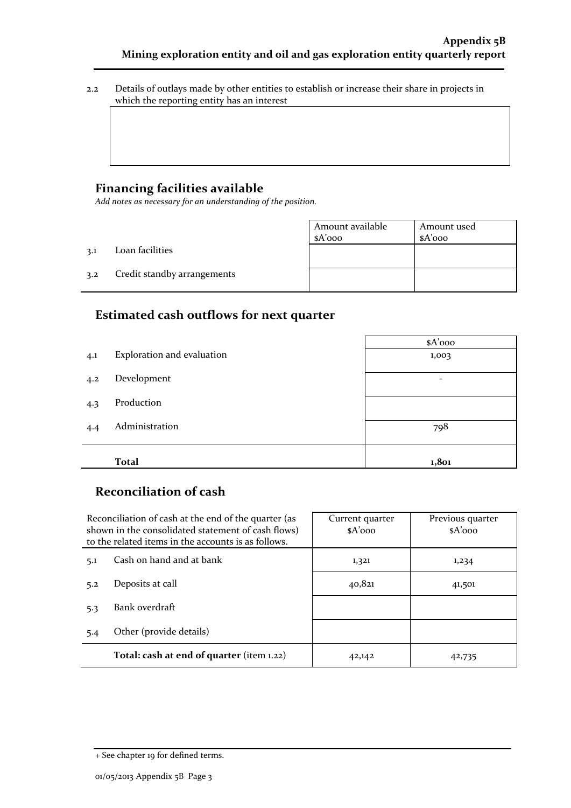2.2 Details of outlays made by other entities to establish or increase their share in projects in which the reporting entity has an interest

## **Financing facilities available**

*Add notes as necessary for an understanding of the position.*

|     |                             | Amount available<br>$A'$ 000 | Amount used<br>$A'$ 000 |
|-----|-----------------------------|------------------------------|-------------------------|
| 3.1 | Loan facilities             |                              |                         |
| 3.2 | Credit standby arrangements |                              |                         |

## **Estimated cash outflows for next quarter**

|     |                            | \$A'ooo |
|-----|----------------------------|---------|
| 4.1 | Exploration and evaluation | 1,003   |
| 4.2 | Development                | -       |
| 4.3 | Production                 |         |
| 4.4 | Administration             | 798     |
|     |                            |         |
|     | <b>Total</b>               | 1,801   |

## **Reconciliation of cash**

| Reconciliation of cash at the end of the quarter (as<br>shown in the consolidated statement of cash flows)<br>to the related items in the accounts is as follows. |                                           | Current quarter<br>$A'$ 000 | Previous quarter<br>$A'$ 000 |
|-------------------------------------------------------------------------------------------------------------------------------------------------------------------|-------------------------------------------|-----------------------------|------------------------------|
| 5.1                                                                                                                                                               | Cash on hand and at bank                  | 1,321                       | 1,234                        |
| 5.2                                                                                                                                                               | Deposits at call                          | 40,821                      | 41,501                       |
| 5.3                                                                                                                                                               | Bank overdraft                            |                             |                              |
| 5.4                                                                                                                                                               | Other (provide details)                   |                             |                              |
|                                                                                                                                                                   | Total: cash at end of quarter (item 1.22) | 42,142                      | 42,735                       |

<sup>+</sup> See chapter 19 for defined terms.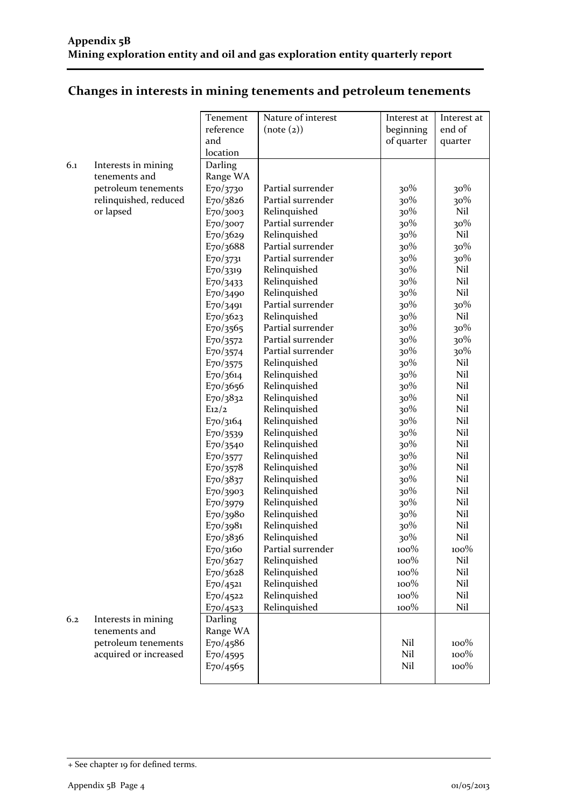## **Changes in interests in mining tenements and petroleum tenements**

|     |                       | Tenement              | Nature of interest | Interest at | Interest at     |
|-----|-----------------------|-----------------------|--------------------|-------------|-----------------|
|     |                       | reference             | (note (2))         | beginning   | end of          |
|     |                       | and                   |                    | of quarter  | quarter         |
|     |                       | location              |                    |             |                 |
| 6.1 | Interests in mining   | Darling               |                    |             |                 |
|     | tenements and         | Range WA              |                    |             |                 |
|     | petroleum tenements   | E70/3730              | Partial surrender  | 30%         | $30\%$          |
|     | relinquished, reduced | E70/3826              | Partial surrender  | 30%         | 30%             |
|     | or lapsed             | E70/3003              | Relinquished       | 30%         | Nil             |
|     |                       | E70/3007              | Partial surrender  | 30%         | 30%             |
|     |                       | E70/3629              | Relinquished       | 30%         | Nil             |
|     |                       | E70/3688              | Partial surrender  | 30%         | 30%             |
|     |                       | $E_{70}/3731$         | Partial surrender  | 30%         | 30%             |
|     |                       | E70/3319              | Relinquished       | 30%         | Nil             |
|     |                       | $E_{70/3433}$         | Relinquished       | 30%         | Nil             |
|     |                       | E70/3490              | Relinquished       | 30%         | Nil             |
|     |                       | E70/3491              | Partial surrender  | 30%         | $30\%$          |
|     |                       | E70/3623              | Relinquished       | 30%         | Nil             |
|     |                       | E70/3565              | Partial surrender  | 30%         | 30%             |
|     |                       | E70/3572              | Partial surrender  | 30%         | 30%             |
|     |                       | E70/3574              | Partial surrender  | 30%         | 30%             |
|     |                       | E70/3575              | Relinquished       | 30%         | Nil             |
|     |                       | E70/3614              | Relinquished       | 30%         | Nil             |
|     |                       | E70/3656              | Relinquished       | 30%         | Nil             |
|     |                       | E70/3832              | Relinquished       | 30%         | Nil             |
|     |                       | E12/2                 | Relinquished       | 30%         | Nil             |
|     |                       | E70/3164              | Relinquished       | 30%         | Nil             |
|     |                       | E70/3539              | Relinquished       | 30%         | Nil             |
|     |                       | E70/3540              | Relinquished       | 30%         | Nil             |
|     |                       | E70/3577              | Relinquished       | 30%         | Nil             |
|     |                       | $E_{70/3578}$         | Relinquished       | 30%         | Nil             |
|     |                       | E70/3837              | Relinquished       | 30%         | Nil             |
|     |                       | E70/3903              | Relinquished       | 30%         | Nil             |
|     |                       | E70/3979              | Relinquished       | 30%         | Nil             |
|     |                       | E70/3980              | Relinquished       | 30%         | Nil             |
|     |                       | $E_{70/3981}$         | Relinquished       | 30%         | Nil             |
|     |                       | E70/3836              | Relinquished       | 30%         | Nil             |
|     |                       | E70/3160              | Partial surrender  | $100\%$     | $100\%$         |
|     |                       | E70/3627              | Relinquished       | 100%        | Nil             |
|     |                       | E70/3628              | Relinquished       | 100%        | Nil             |
|     |                       | $E_{70}/4521$         | Relinquished       | 100%        | Nil             |
|     |                       |                       | Relinquished       | 100%        | Nil             |
|     |                       | E70/4522<br>E70/4523  | Relinquished       | 100%        | Nil             |
|     |                       |                       |                    |             |                 |
| 6.2 | Interests in mining   | Darling               |                    |             |                 |
|     | tenements and         | Range WA              |                    |             |                 |
|     | petroleum tenements   | E70/4586              |                    | Nil         | $100\%$<br>100% |
|     | acquired or increased | E <sub>70</sub> /4595 |                    | Nil<br>Nil  | 100%            |
|     |                       | E70/4565              |                    |             |                 |
|     |                       |                       |                    |             |                 |

<sup>+</sup> See chapter 19 for defined terms.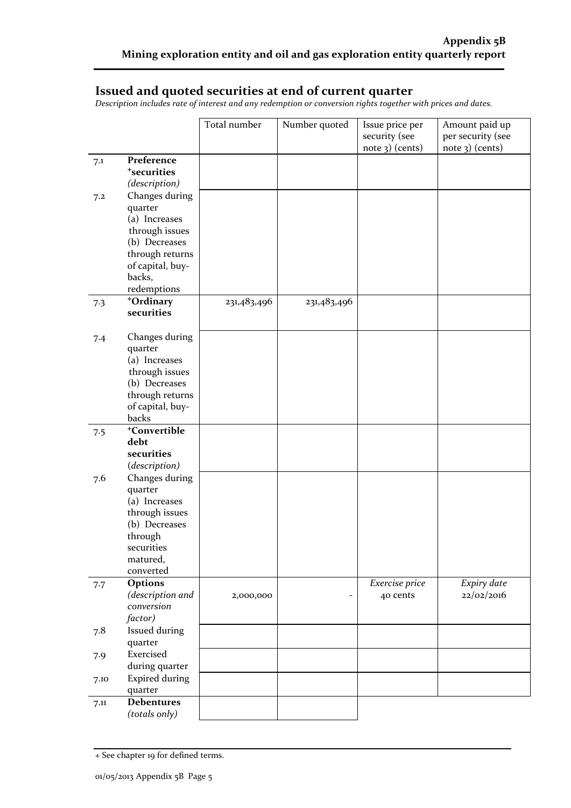### **Issued and quoted securities at end of current quarter**

*Description includes rate of interest and any redemption or conversion rights together with prices and dates.*

|      |                                 | Total number | Number quoted | Issue price per | Amount paid up    |
|------|---------------------------------|--------------|---------------|-----------------|-------------------|
|      |                                 |              |               | security (see   | per security (see |
|      |                                 |              |               | note 3) (cents) | $note$ 3) (cents) |
| 7.1  | Preference                      |              |               |                 |                   |
|      | <sup>+</sup> securities         |              |               |                 |                   |
|      | (description)                   |              |               |                 |                   |
| 7.2  | Changes during                  |              |               |                 |                   |
|      | quarter                         |              |               |                 |                   |
|      | (a) Increases                   |              |               |                 |                   |
|      | through issues                  |              |               |                 |                   |
|      | (b) Decreases                   |              |               |                 |                   |
|      | through returns                 |              |               |                 |                   |
|      | of capital, buy-                |              |               |                 |                   |
|      | backs,                          |              |               |                 |                   |
|      | redemptions                     |              |               |                 |                   |
| 7.3  | +Ordinary                       | 231,483,496  | 231,483,496   |                 |                   |
|      | securities                      |              |               |                 |                   |
|      |                                 |              |               |                 |                   |
| 7.4  | Changes during                  |              |               |                 |                   |
|      | quarter                         |              |               |                 |                   |
|      | (a) Increases                   |              |               |                 |                   |
|      | through issues<br>(b) Decreases |              |               |                 |                   |
|      | through returns                 |              |               |                 |                   |
|      | of capital, buy-                |              |               |                 |                   |
|      | backs                           |              |               |                 |                   |
| 7.5  | <sup>+</sup> Convertible        |              |               |                 |                   |
|      | debt                            |              |               |                 |                   |
|      | securities                      |              |               |                 |                   |
|      | (description)                   |              |               |                 |                   |
| 7.6  | Changes during                  |              |               |                 |                   |
|      | quarter                         |              |               |                 |                   |
|      | (a) Increases                   |              |               |                 |                   |
|      | through issues                  |              |               |                 |                   |
|      | (b) Decreases                   |              |               |                 |                   |
|      | through                         |              |               |                 |                   |
|      | securities                      |              |               |                 |                   |
|      | matured,                        |              |               |                 |                   |
|      | converted                       |              |               |                 |                   |
| 7.7  | Options                         |              |               | Exercise price  | Expiry date       |
|      | (description and                | 2,000,000    |               | 40 cents        | 22/02/2016        |
|      | conversion                      |              |               |                 |                   |
|      | factor)                         |              |               |                 |                   |
| 7.8  | Issued during                   |              |               |                 |                   |
|      | quarter<br>Exercised            |              |               |                 |                   |
| 7.9  | during quarter                  |              |               |                 |                   |
|      |                                 |              |               |                 |                   |
| 7.10 | <b>Expired during</b>           |              |               |                 |                   |
|      | quarter<br><b>Debentures</b>    |              |               |                 |                   |
| 7.11 | (totals only)                   |              |               |                 |                   |
|      |                                 |              |               |                 |                   |

<sup>+</sup> See chapter 19 for defined terms.